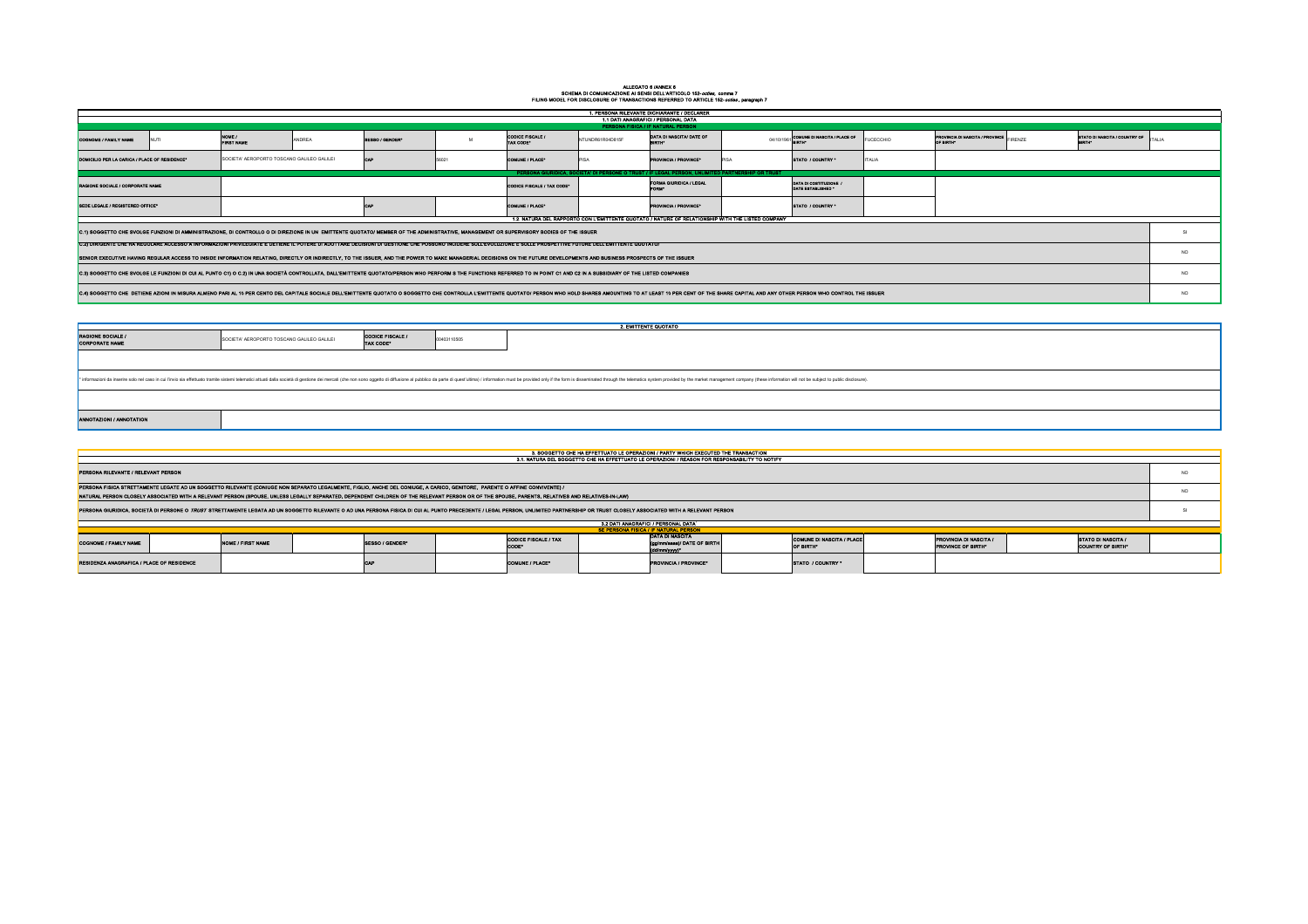## ALLEGATO 6 /ANNEX 6 SCHEMA DI COMUNICAZIONE AI SENSI DELL'ARTICOLO 152-*octies,* comma 7

| SE PERSONA FISICA / IF NATURAL PERSON |                                             |  |                               |  |                           |  |  |  |  |  |
|---------------------------------------|---------------------------------------------|--|-------------------------------|--|---------------------------|--|--|--|--|--|
|                                       |                                             |  | <b>DATA DI NASCITA</b>        |  |                           |  |  |  |  |  |
|                                       | <b>CODICE FISCALE / TAX</b><br><b>CODE*</b> |  | (gg/mm/aaaa)/ DATE OF BIRTH   |  | COMUNE DI NASCITA / PLACE |  |  |  |  |  |
|                                       |                                             |  | (dd/mm/yyyy)*                 |  | <b>OF BIRTH*</b>          |  |  |  |  |  |
|                                       | <b>COMUNE / PLACE*</b>                      |  | <b>IPROVINCIA / PROVINCE*</b> |  | <b>ISTATO / COUNTRY *</b> |  |  |  |  |  |

|                                                                                                                                                                                                                                                                                                                                                                                                             | FILING MODEL FOR DISCLOSURE OF TRANSACTIONS REFERRED TO ARTICLE 152- <i>octies</i> , paragraph 7<br>1. PERSONA RILEVANTE DICHIARANTE / DECLARER |                                            |        |                                                                                                                                                                             |             |                                                                                                                                                                                                  |                  |                                                                                                                                                                                                                                     |                                                                                                                                                                                                                                |                                                             |                                                |           |
|-------------------------------------------------------------------------------------------------------------------------------------------------------------------------------------------------------------------------------------------------------------------------------------------------------------------------------------------------------------------------------------------------------------|-------------------------------------------------------------------------------------------------------------------------------------------------|--------------------------------------------|--------|-----------------------------------------------------------------------------------------------------------------------------------------------------------------------------|-------------|--------------------------------------------------------------------------------------------------------------------------------------------------------------------------------------------------|------------------|-------------------------------------------------------------------------------------------------------------------------------------------------------------------------------------------------------------------------------------|--------------------------------------------------------------------------------------------------------------------------------------------------------------------------------------------------------------------------------|-------------------------------------------------------------|------------------------------------------------|-----------|
|                                                                                                                                                                                                                                                                                                                                                                                                             |                                                                                                                                                 |                                            |        |                                                                                                                                                                             |             |                                                                                                                                                                                                  |                  | 1.1 DATI ANAGRAFICI / PERSONAL DATA                                                                                                                                                                                                 |                                                                                                                                                                                                                                |                                                             |                                                |           |
|                                                                                                                                                                                                                                                                                                                                                                                                             |                                                                                                                                                 |                                            |        |                                                                                                                                                                             |             |                                                                                                                                                                                                  |                  | PERSONA FISICA / IF NATURAL PERSON                                                                                                                                                                                                  |                                                                                                                                                                                                                                |                                                             |                                                |           |
| COGNOME / FAMILY NAME                                                                                                                                                                                                                                                                                                                                                                                       | INUTI                                                                                                                                           | NOME /<br><b>FIRST NAME</b>                | ANDREA | SESSO / GENDER*                                                                                                                                                             |             | <b>CODICE FISCALE /</b><br>TAX CODE*                                                                                                                                                             | NTUNDR61R04D815F | DATA DI NASCITA/ DATE OF<br><b>BIRTH*</b>                                                                                                                                                                                           | 04/10/1961 COMUNE DI NASCITA / PLACE OF<br>FUCECCHIO                                                                                                                                                                           | <b>PROVINCIA DI NASCITA / PROVINCE FIRENZE</b><br>OF BIRTH* | STATO DI NASCITA / COUNTRY OF  <br>BIRTH*      |           |
| DOMICILIO PER LA CARICA / PLACE OF RESIDENCE*                                                                                                                                                                                                                                                                                                                                                               |                                                                                                                                                 | SOCIETA' AEROPORTO TOSCANO GALILEO GALILEI |        | <b>CAP</b>                                                                                                                                                                  | 56021       | COMUNE / PLACE*                                                                                                                                                                                  | <b>IPISA</b>     | <b>PROVINCIA / PROVINCE*</b><br>IPISA                                                                                                                                                                                               | <b>ITALIA</b><br>STATO / COUNTRY *                                                                                                                                                                                             |                                                             |                                                |           |
|                                                                                                                                                                                                                                                                                                                                                                                                             |                                                                                                                                                 |                                            |        |                                                                                                                                                                             |             |                                                                                                                                                                                                  |                  | PERSONA GIURIDICA, SOCIETA' DI PERSONE O TRUST / IF LEGAL PERSON, UNLIMITED PARTNERSHIP OR TRUST                                                                                                                                    |                                                                                                                                                                                                                                |                                                             |                                                |           |
| RAGIONE SOCIALE / CORPORATE NAME                                                                                                                                                                                                                                                                                                                                                                            |                                                                                                                                                 |                                            |        |                                                                                                                                                                             |             | CODICE FISCALE / TAX CODE*                                                                                                                                                                       |                  | <b>FORMA GIURIDICA / LEGAL</b>                                                                                                                                                                                                      | DATA DI COSTITUZIONE /<br>DATE ESTABLISHED *                                                                                                                                                                                   |                                                             |                                                |           |
| SEDE LEGALE / REGISTERED OFFICE*                                                                                                                                                                                                                                                                                                                                                                            |                                                                                                                                                 |                                            |        | <b>CAP</b>                                                                                                                                                                  |             | COMUNE / PLACE*                                                                                                                                                                                  |                  | <b>PROVINCIA / PROVINCE*</b>                                                                                                                                                                                                        | STATO / COUNTRY *                                                                                                                                                                                                              |                                                             |                                                |           |
|                                                                                                                                                                                                                                                                                                                                                                                                             |                                                                                                                                                 |                                            |        |                                                                                                                                                                             |             |                                                                                                                                                                                                  |                  | 1.2. NATURA DEL RAPPORTO CON L'EMITTENTE QUOTATO / NATURE OF RELATIONSHIP WITH THE LISTED COMPANY                                                                                                                                   |                                                                                                                                                                                                                                |                                                             |                                                |           |
| C.1) SOGGETTO CHE SVOLGE FUNZIONI DI AMMINISTRAZIONE, DI CONTROLLO O DI DIREZIONE IN UN EMITTENTE QUOTATO/ MEMBER OF THE ADMINISTRATIVE, MANAGEMENT OR SUPERVISORY BODIES OF THE ISSUER<br>C.2) DIRIGENTE CHE HA REGOLARE ACCESSO A INFORMAZIONI PRIVILEGIATE E DETIENE IL POTERE DI ADOTTARE DECISIONI DI GESTIONE CHE POSSONO INCIDERE SULL'EVOLUZIONE E SULLE PROSPETTIVE FUTURE DELL'EMITTENTE QUOTATO/ |                                                                                                                                                 |                                            |        |                                                                                                                                                                             |             |                                                                                                                                                                                                  |                  |                                                                                                                                                                                                                                     |                                                                                                                                                                                                                                |                                                             |                                                |           |
| SENIOR EXECUTIVE HAVING REGULAR ACCESS TO INSIDE INFORMATION RELATING, DIRECTLY OR INDIRECTLY, TO THE ISSUER, AND THE POWER TO MAKE MANAGERIAL DECISIONS ON THE FUTURE DEVELOPMENTS AND BUSINESS PROSPECTS OF THE ISSUER                                                                                                                                                                                    |                                                                                                                                                 |                                            |        |                                                                                                                                                                             |             |                                                                                                                                                                                                  |                  |                                                                                                                                                                                                                                     |                                                                                                                                                                                                                                |                                                             | <b>NO</b>                                      |           |
| C.3) SOGGETTO CHE SVOLGE LE FUNZIONI DI CUI AL PUNTO C1) O C.2) IN UNA SOCIETÀ CONTROLLATA, DALL'EMITTENTE QUOTATO/PERSON WHO PERFORM S THE FUNCTIONS REFERRED TO IN POINT C1 AND C2 IN A SUBSIDIARY OF THE LISTED COMPANIES                                                                                                                                                                                |                                                                                                                                                 |                                            |        |                                                                                                                                                                             |             |                                                                                                                                                                                                  |                  |                                                                                                                                                                                                                                     |                                                                                                                                                                                                                                | <b>NO</b>                                                   |                                                |           |
|                                                                                                                                                                                                                                                                                                                                                                                                             |                                                                                                                                                 |                                            |        |                                                                                                                                                                             |             |                                                                                                                                                                                                  |                  |                                                                                                                                                                                                                                     | C.4) SOGGETTO CHE DETIENE AZIONI IN MISURA ALMENO PARI AL 10 PER CENTO DEL CAPITALE SOCIALE DELL'EMITTENTE QUOTATO O SOGGETTO CHE CONTROLLA L'EMITTENTE QUOTATO / PERSON WHO HOLD SHARES AMOUNTING TO AT LEAST 10 PER CENT OF  |                                                             |                                                | <b>NO</b> |
|                                                                                                                                                                                                                                                                                                                                                                                                             |                                                                                                                                                 |                                            |        |                                                                                                                                                                             |             |                                                                                                                                                                                                  |                  |                                                                                                                                                                                                                                     |                                                                                                                                                                                                                                |                                                             |                                                |           |
|                                                                                                                                                                                                                                                                                                                                                                                                             |                                                                                                                                                 |                                            |        |                                                                                                                                                                             |             |                                                                                                                                                                                                  |                  | <b>2. EMITTENTE QUOTATO</b>                                                                                                                                                                                                         |                                                                                                                                                                                                                                |                                                             |                                                |           |
| <b>RAGIONE SOCIALE /</b><br><b>CORPORATE NAME</b>                                                                                                                                                                                                                                                                                                                                                           |                                                                                                                                                 | SOCIETA' AEROPORTO TOSCANO GALILEO GALILEI |        | <b>CODICE FISCALE /</b><br><b>TAX CODE*</b>                                                                                                                                 | 00403110505 |                                                                                                                                                                                                  |                  |                                                                                                                                                                                                                                     |                                                                                                                                                                                                                                |                                                             |                                                |           |
|                                                                                                                                                                                                                                                                                                                                                                                                             |                                                                                                                                                 |                                            |        |                                                                                                                                                                             |             |                                                                                                                                                                                                  |                  |                                                                                                                                                                                                                                     |                                                                                                                                                                                                                                |                                                             |                                                |           |
|                                                                                                                                                                                                                                                                                                                                                                                                             |                                                                                                                                                 |                                            |        |                                                                                                                                                                             |             |                                                                                                                                                                                                  |                  |                                                                                                                                                                                                                                     | * informazioni da inserire solo nel caso in cui l'invio sia effettuato tramite sistemi telematici attuati dalla società di gestione dei mercati (che non sono oggetto di diffusione al pubblico da parte di quest'ultima) / in |                                                             |                                                |           |
|                                                                                                                                                                                                                                                                                                                                                                                                             |                                                                                                                                                 |                                            |        |                                                                                                                                                                             |             |                                                                                                                                                                                                  |                  |                                                                                                                                                                                                                                     |                                                                                                                                                                                                                                |                                                             |                                                |           |
| ANNOTAZIONI / ANNOTATION                                                                                                                                                                                                                                                                                                                                                                                    |                                                                                                                                                 |                                            |        |                                                                                                                                                                             |             |                                                                                                                                                                                                  |                  |                                                                                                                                                                                                                                     |                                                                                                                                                                                                                                |                                                             |                                                |           |
|                                                                                                                                                                                                                                                                                                                                                                                                             |                                                                                                                                                 |                                            |        |                                                                                                                                                                             |             |                                                                                                                                                                                                  |                  |                                                                                                                                                                                                                                     |                                                                                                                                                                                                                                |                                                             |                                                |           |
|                                                                                                                                                                                                                                                                                                                                                                                                             |                                                                                                                                                 |                                            |        |                                                                                                                                                                             |             |                                                                                                                                                                                                  |                  |                                                                                                                                                                                                                                     |                                                                                                                                                                                                                                |                                                             |                                                |           |
|                                                                                                                                                                                                                                                                                                                                                                                                             |                                                                                                                                                 |                                            |        |                                                                                                                                                                             |             |                                                                                                                                                                                                  |                  | 3. SOGGETTO CHE HA EFFETTUATO LE OPERAZIONI / PARTY WHICH EXECUTED THE TRANSACTION<br>3.1. NATURA DEL SOGGETTO CHE HA EFFETTUATO LE OPERAZIONI / REASON FOR RESPONSABILITY TO NOTIFY                                                |                                                                                                                                                                                                                                |                                                             |                                                |           |
| PERSONA RILEVANTE / RELEVANT PERSON                                                                                                                                                                                                                                                                                                                                                                         |                                                                                                                                                 |                                            |        |                                                                                                                                                                             |             |                                                                                                                                                                                                  |                  |                                                                                                                                                                                                                                     |                                                                                                                                                                                                                                |                                                             |                                                | <b>NO</b> |
|                                                                                                                                                                                                                                                                                                                                                                                                             |                                                                                                                                                 |                                            |        | PERSONA FISICA STRETTAMENTE LEGATE AD UN SOGGETTO RILEVANTE (CONIUGE NON SEPARATO LEGALMENTE, FIGLIO, ANCHE DEL CONIUGE, A CARICO, GENITORE, PARENTE O AFFINE CONVIVENTE) / |             | NATURAL PERSON CLOSELY ASSOCIATED WITH A RELEVANT PERSON (SPOUSE, UNLESS LEGALLY SEPARATED, DEPENDENT CHILDREN OF THE RELEVANT PERSON OR OF THE SPOUSE, PARENTS, RELATIVES AND RELATIVES-IN-LAW) |                  |                                                                                                                                                                                                                                     |                                                                                                                                                                                                                                |                                                             |                                                | <b>NO</b> |
|                                                                                                                                                                                                                                                                                                                                                                                                             |                                                                                                                                                 |                                            |        |                                                                                                                                                                             |             |                                                                                                                                                                                                  |                  | PERSONA GIURIDICA, SOCIETÀ DI PERSONE O <i>TRUST</i> STRETTAMENTE LEGATA AD UN SOGGETTO RILEVANTE O AD UNA PERSONA FISICA DI CUI AL PUNTO PRECEDENTE / LEGAL PERSON, UNLIMITED PARTNERSHIP OR TRUST CLOSELY ASSOCIATED WITH A RELEV |                                                                                                                                                                                                                                |                                                             |                                                |           |
|                                                                                                                                                                                                                                                                                                                                                                                                             |                                                                                                                                                 |                                            |        |                                                                                                                                                                             |             |                                                                                                                                                                                                  |                  | 3.2 DATI ANAGRAFICI / PERSONAL DATA $^\mathrm{1}$                                                                                                                                                                                   |                                                                                                                                                                                                                                |                                                             |                                                |           |
|                                                                                                                                                                                                                                                                                                                                                                                                             |                                                                                                                                                 |                                            |        |                                                                                                                                                                             |             |                                                                                                                                                                                                  |                  | SE PERSONA FISICA / IF NATURAL PERSON<br><b>DATA DI NASCITA</b>                                                                                                                                                                     |                                                                                                                                                                                                                                |                                                             |                                                |           |
| COGNOME / FAMILY NAME                                                                                                                                                                                                                                                                                                                                                                                       |                                                                                                                                                 | NOME / FIRST NAME                          |        | SESSO / GENDER*                                                                                                                                                             |             | <b>CODICE FISCALE / TAX</b><br>CODE*                                                                                                                                                             |                  | (gg/mm/aaaa)/ DATE OF BIRTH<br>$(dd/mm/yyyy)*$                                                                                                                                                                                      | COMUNE DI NASCITA / PLACE<br>OF BIRTH*                                                                                                                                                                                         | <b>PROVINCIA DI NASCITA /</b><br><b>PROVINCE OF BIRTH*</b>  | <b>STATO DI NASCITA /</b><br>COUNTRY OF BIRTH* |           |
| RESIDENZA ANAGRAFICA / PLACE OF RESIDENCE                                                                                                                                                                                                                                                                                                                                                                   |                                                                                                                                                 |                                            |        | <b>CAP</b>                                                                                                                                                                  |             | COMUNE / PLACE*                                                                                                                                                                                  |                  | <b>PROVINCIA / PROVINCE*</b>                                                                                                                                                                                                        | STATO / COUNTRY *                                                                                                                                                                                                              |                                                             |                                                |           |

| $\blacksquare$<br>1. PERSONA RILEVANTE DICHIARANTE / DECLARER                                                                                                                                                                                                                                                                                                                                                                                |      |                                            |        |                                             |              |                                      |                  |                                                                                                                                                                                                                                     |                                         |                                              |               |                                                             |           |                                                        |           |
|----------------------------------------------------------------------------------------------------------------------------------------------------------------------------------------------------------------------------------------------------------------------------------------------------------------------------------------------------------------------------------------------------------------------------------------------|------|--------------------------------------------|--------|---------------------------------------------|--------------|--------------------------------------|------------------|-------------------------------------------------------------------------------------------------------------------------------------------------------------------------------------------------------------------------------------|-----------------------------------------|----------------------------------------------|---------------|-------------------------------------------------------------|-----------|--------------------------------------------------------|-----------|
|                                                                                                                                                                                                                                                                                                                                                                                                                                              |      |                                            |        |                                             |              |                                      |                  | 1.1 DATI ANAGRAFICI / PERSONAL DATA                                                                                                                                                                                                 |                                         |                                              |               |                                                             |           |                                                        |           |
|                                                                                                                                                                                                                                                                                                                                                                                                                                              |      |                                            |        |                                             |              |                                      |                  | PERSONA FISICA / IF NATURAL PERSON                                                                                                                                                                                                  |                                         |                                              |               |                                                             |           |                                                        |           |
| <b>COGNOME / FAMILY NAME</b>                                                                                                                                                                                                                                                                                                                                                                                                                 | NUTI | NOME /<br>FIRST NAME                       | ANDREA | SESSO / GENDER*                             | $\mathbf{M}$ | <b>CODICE FISCALE /</b><br>TAX CODE* | NTUNDR61R04D815F | DATA DI NASCITA/ DATE OF<br><b>BIRTH*</b>                                                                                                                                                                                           | 04/10/1961 COMUNE DI NASCITA / PLACE OF |                                              | FUCECCHIO     | <b>PROVINCIA DI NASCITA / PROVINCE FIRENZE</b><br>OF BIRTH* |           | STATO DI NASCITA / COUNTRY OF  ITALIA<br><b>BIRTH*</b> |           |
| DOMICILIO PER LA CARICA / PLACE OF RESIDENCE*                                                                                                                                                                                                                                                                                                                                                                                                |      | SOCIETA' AEROPORTO TOSCANO GALILEO GALILEI |        | <b>CAP</b>                                  | 56021        | <b>COMUNE / PLACE*</b>               | <b>IPISA</b>     | <b>PROVINCIA / PROVINCE*</b><br><b>IPISA</b>                                                                                                                                                                                        |                                         | STATO / COUNTRY *                            | <b>ITALIA</b> |                                                             |           |                                                        |           |
|                                                                                                                                                                                                                                                                                                                                                                                                                                              |      |                                            |        |                                             |              |                                      |                  | PERSONA GIURIDICA, SOCIETA' DI PERSONE O TRUST / IF LEGAL PERSON, UNLIMITED PARTNERSHIP OR TRUST                                                                                                                                    |                                         |                                              |               |                                                             |           |                                                        |           |
| RAGIONE SOCIALE / CORPORATE NAME                                                                                                                                                                                                                                                                                                                                                                                                             |      |                                            |        |                                             |              | CODICE FISCALE / TAX CODE*           |                  | <b>FORMA GIURIDICA / LEGAL</b>                                                                                                                                                                                                      |                                         | DATA DI COSTITUZIONE /<br>DATE ESTABLISHED * |               |                                                             |           |                                                        |           |
| SEDE LEGALE / REGISTERED OFFICE*                                                                                                                                                                                                                                                                                                                                                                                                             |      |                                            |        | <b>CAP</b>                                  |              | COMUNE / PLACE*                      |                  | <b>PROVINCIA / PROVINCE*</b>                                                                                                                                                                                                        |                                         | STATO / COUNTRY *                            |               |                                                             |           |                                                        |           |
|                                                                                                                                                                                                                                                                                                                                                                                                                                              |      |                                            |        |                                             |              |                                      |                  | 1.2. NATURA DEL RAPPORTO CON L'EMITTENTE QUOTATO / NATURE OF RELATIONSHIP WITH THE LISTED COMPANY                                                                                                                                   |                                         |                                              |               |                                                             |           |                                                        |           |
| C.1) SOGGETTO CHE SVOLGE FUNZIONI DI AMMINISTRAZIONE, DI CONTROLLO O DI DIREZIONE IN UN EMITTENTE QUOTATO/ MEMBER OF THE ADMINISTRATIVE, MANAGEMENT OR SUPERVISORY BODIES OF THE ISSUER                                                                                                                                                                                                                                                      |      |                                            |        |                                             |              |                                      |                  |                                                                                                                                                                                                                                     |                                         |                                              |               |                                                             |           |                                                        |           |
| C.2) DIRIGENTE CHE HA REGOLARE ACCESSO A INFORMAZIONI PRIVILEGIATE E DETIENE IL POTERE DI ADOTTARE DECISIONI DI GESTIONE CHE POSSONO INCIDERE SULL'EVOLUZIONE E SULLE PROSPETTIVE FUTURE DELL'EMITTENTE QUOTATO/<br>SENIOR EXECUTIVE HAVING REGULAR ACCESS TO INSIDE INFORMATION RELATING, DIRECTLY OR INDIRECTLY, TO THE ISSUER, AND THE POWER TO MAKE MANAGERIAL DECISIONS ON THE FUTURE DEVELOPMENTS AND BUSINESS PROSPECTS OF THE ISSUER |      |                                            |        |                                             |              |                                      |                  |                                                                                                                                                                                                                                     |                                         |                                              |               |                                                             | <b>NO</b> |                                                        |           |
| C.3) SOGGETTO CHE SVOLGE LE FUNZIONI DI CUI AL PUNTO C1) O C.2) IN UNA SOCIETÀ CONTROLLATA, DALL'EMITTENTE QUOTATO/PERSON WHO PERFORM S THE FUNCTIONS REFERRED TO IN POINT C1 AND C2 IN A SUBSIDIARY OF THE LISTED COMPANIES                                                                                                                                                                                                                 |      |                                            |        |                                             |              |                                      |                  |                                                                                                                                                                                                                                     |                                         |                                              |               |                                                             |           |                                                        | <b>NO</b> |
|                                                                                                                                                                                                                                                                                                                                                                                                                                              |      |                                            |        |                                             |              |                                      |                  | C.4) SOGGETTO CHE DETIENE AZIONI IN MISURA ALMENO PARI AL 10 PER CENTO DEL CAPITALE SOCIALE DELL'EMITTENTE QUOTATO O SOGGETTO CHE CONTROLLA L'EMITTENTE QUOTATO / PERSON WHO HOLD SHARES AMOUNTING TO AT LEAST 10 PER CENT OF       |                                         |                                              |               |                                                             |           |                                                        | <b>NO</b> |
|                                                                                                                                                                                                                                                                                                                                                                                                                                              |      |                                            |        |                                             |              |                                      |                  |                                                                                                                                                                                                                                     |                                         |                                              |               |                                                             |           |                                                        |           |
|                                                                                                                                                                                                                                                                                                                                                                                                                                              |      |                                            |        |                                             |              |                                      |                  | <b>2. EMITTENTE QUOTATO</b>                                                                                                                                                                                                         |                                         |                                              |               |                                                             |           |                                                        |           |
| <b>RAGIONE SOCIALE /</b><br><b>CORPORATE NAME</b>                                                                                                                                                                                                                                                                                                                                                                                            |      | SOCIETA' AEROPORTO TOSCANO GALILEO GALILEI |        | <b>CODICE FISCALE /</b><br><b>TAX CODE*</b> | 00403110505  |                                      |                  |                                                                                                                                                                                                                                     |                                         |                                              |               |                                                             |           |                                                        |           |
|                                                                                                                                                                                                                                                                                                                                                                                                                                              |      |                                            |        |                                             |              |                                      |                  | * informazioni da inserire solo nel caso in cui l'invio sia effettuato tramite sistemi telematici attuati dalla società di gestione dei mercati (che non sono oggetto di diffusione al pubblico da parte di quest'ultima) / in      |                                         |                                              |               |                                                             |           |                                                        |           |
|                                                                                                                                                                                                                                                                                                                                                                                                                                              |      |                                            |        |                                             |              |                                      |                  |                                                                                                                                                                                                                                     |                                         |                                              |               |                                                             |           |                                                        |           |
| ANNOTAZIONI / ANNOTATION                                                                                                                                                                                                                                                                                                                                                                                                                     |      |                                            |        |                                             |              |                                      |                  |                                                                                                                                                                                                                                     |                                         |                                              |               |                                                             |           |                                                        |           |
|                                                                                                                                                                                                                                                                                                                                                                                                                                              |      |                                            |        |                                             |              |                                      |                  |                                                                                                                                                                                                                                     |                                         |                                              |               |                                                             |           |                                                        |           |
|                                                                                                                                                                                                                                                                                                                                                                                                                                              |      |                                            |        |                                             |              |                                      |                  | 3. SOGGETTO CHE HA EFFETTUATO LE OPERAZIONI / PARTY WHICH EXECUTED THE TRANSACTION<br>3.1. NATURA DEL SOGGETTO CHE HA EFFETTUATO LE OPERAZIONI / REASON FOR RESPONSABILITY TO NOTIFY                                                |                                         |                                              |               |                                                             |           |                                                        |           |
| <b>PERSONA RILEVANTE / RELEVANT PERSON</b>                                                                                                                                                                                                                                                                                                                                                                                                   |      |                                            |        |                                             |              |                                      |                  |                                                                                                                                                                                                                                     |                                         |                                              |               |                                                             |           |                                                        | <b>NO</b> |
| PERSONA FISICA STRETTAMENTE LEGATE AD UN SOGGETTO RILEVANTE (CONIUGE NON SEPARATO LEGALMENTE, FIGLIO, ANCHE DEL CONIUGE, A CARICO, GENITORE, PARENTE O AFFINE CONVIVENTE) /<br>NATURAL PERSON CLOSELY ASSOCIATED WITH A RELEVANT PERSON (SPOUSE, UNLESS LEGALLY SEPARATED, DEPENDENT CHILDREN OF THE RELEVANT PERSON OR OF THE SPOUSE, PARENTS, RELATIVES AND RELATIVES-IN-LAW)                                                              |      |                                            |        |                                             |              |                                      |                  |                                                                                                                                                                                                                                     |                                         |                                              |               |                                                             |           |                                                        | <b>NO</b> |
|                                                                                                                                                                                                                                                                                                                                                                                                                                              |      |                                            |        |                                             |              |                                      |                  | PERSONA GIURIDICA, SOCIETÀ DI PERSONE O <i>TRUST</i> STRETTAMENTE LEGATA AD UN SOGGETTO RILEVANTE O AD UNA PERSONA FISICA DI CUI AL PUNTO PRECEDENTE / LEGAL PERSON, UNLIMITED PARTNERSHIP OR TRUST CLOSELY ASSOCIATED WITH A RELEV |                                         |                                              |               |                                                             |           |                                                        |           |
|                                                                                                                                                                                                                                                                                                                                                                                                                                              |      |                                            |        |                                             |              |                                      |                  | 3.2 DATI ANAGRAFICI / PERSONAL DATA $^\text{1}$                                                                                                                                                                                     |                                         |                                              |               |                                                             |           |                                                        |           |
|                                                                                                                                                                                                                                                                                                                                                                                                                                              |      |                                            |        |                                             |              |                                      |                  | SE PERSONA FISICA / IF NATURAL PERSON<br><b>DATA DI NASCITA</b>                                                                                                                                                                     |                                         |                                              |               |                                                             |           |                                                        |           |
| <b>COGNOME / FAMILY NAME</b>                                                                                                                                                                                                                                                                                                                                                                                                                 |      | <b>NOME / FIRST NAME</b>                   |        | SESSO / GENDER*                             |              | <b>CODICE FISCALE / TAX</b><br>CODE* |                  | (gg/mm/aaaa)/ DATE OF BIRTH<br>(dd/mm/yyyy)*                                                                                                                                                                                        | OF BIRTH*                               | COMUNE DI NASCITA / PLACE                    |               | <b>PROVINCIA DI NASCITA /</b><br><b>PROVINCE OF BIRTH*</b>  |           | <b>STATO DI NASCITA /</b><br>COUNTRY OF BIRTH*         |           |
| RESIDENZA ANAGRAFICA / PLACE OF RESIDENCE                                                                                                                                                                                                                                                                                                                                                                                                    |      |                                            |        | <b>CAP</b>                                  |              | COMUNE / PLACE*                      |                  | <b>PROVINCIA / PROVINCE*</b>                                                                                                                                                                                                        |                                         | STATO / COUNTRY *                            |               |                                                             |           |                                                        |           |